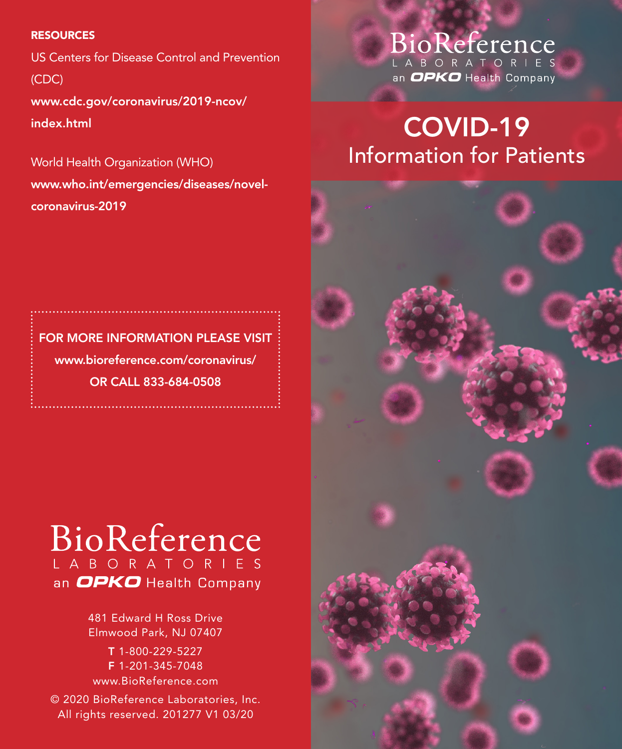#### **RESOURCES**

US Centers for Disease Control and Prevention (CDC) www.cdc.gov/coronavirus/2019-ncov/

index.html

World Health Organization (WHO) www.who.int/emergencies/diseases/novelcoronavirus-2019

### BioReference LABORATORIES an OPKO Health Company

# COVID-19 Information for Patients

FOR MORE INFORMATION PLEASE VISIT www.bioreference.com/coronavirus/ OR CALL 833-684-0508

## BioReference L A B O R A T O R I E S an OPKO Health Company

481 Edward H Ross Drive Elmwood Park, NJ 07407

T 1-800-229-5227 F 1-201-345-7048 www.BioReference.com

© 2020 BioReference Laboratories, Inc. All rights reserved. 201277 V1 03/20